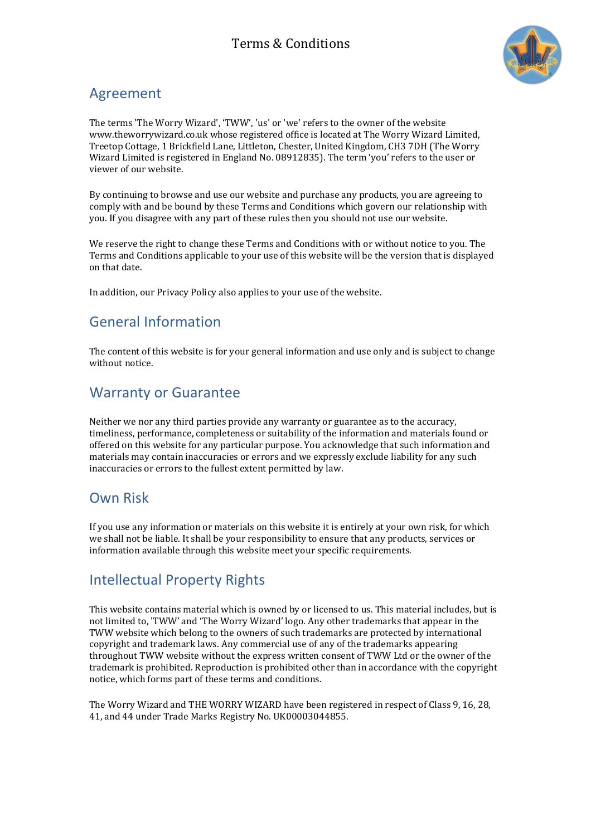

#### Agreement

The terms 'The Worry Wizard', 'TWW', 'us' or 'we' refers to the owner of the website www.theworrywizard.co.uk whose registered office is located at The Worry Wizard Limited, Treetop Cottage, 1 Brickfield Lane, Littleton, Chester, United Kingdom, CH3 7DH (The Worry Wizard Limited is registered in England No. 08912835). The term 'you' refers to the user or viewer of our website.

By continuing to browse and use our website and purchase any products, you are agreeing to comply with and be bound by these Terms and Conditions which govern our relationship with you. If you disagree with any part of these rules then you should not use our website.

We reserve the right to change these Terms and Conditions with or without notice to you. The Terms and Conditions applicable to your use of this website will be the version that is displayed on that date.

In addition, our Privacy Policy also applies to your use of the website.

### General Information

The content of this website is for your general information and use only and is subject to change without notice.

### Warranty or Guarantee

Neither we nor any third parties provide any warranty or guarantee as to the accuracy, timeliness, performance, completeness or suitability of the information and materials found or offered on this website for any particular purpose. You acknowledge that such information and materials may contain inaccuracies or errors and we expressly exclude liability for any such inaccuracies or errors to the fullest extent permitted by law.

### Own Risk

If you use any information or materials on this website it is entirely at your own risk, for which we shall not be liable. It shall be your responsibility to ensure that any products, services or information available through this website meet your specific requirements.

### Intellectual Property Rights

This website contains material which is owned by or licensed to us. This material includes, but is not limited to, 'TWW' and 'The Worry Wizard' logo. Any other trademarks that appear in the TWW website which belong to the owners of such trademarks are protected by international copyright and trademark laws. Any commercial use of any of the trademarks appearing throughout TWW website without the express written consent of TWW Ltd or the owner of the trademark is prohibited. Reproduction is prohibited other than in accordance with the copyright notice, which forms part of these terms and conditions.

The Worry Wizard and THE WORRY WIZARD have been registered in respect of Class 9, 16, 28, 41, and 44 under Trade Marks Registry No. UK00003044855.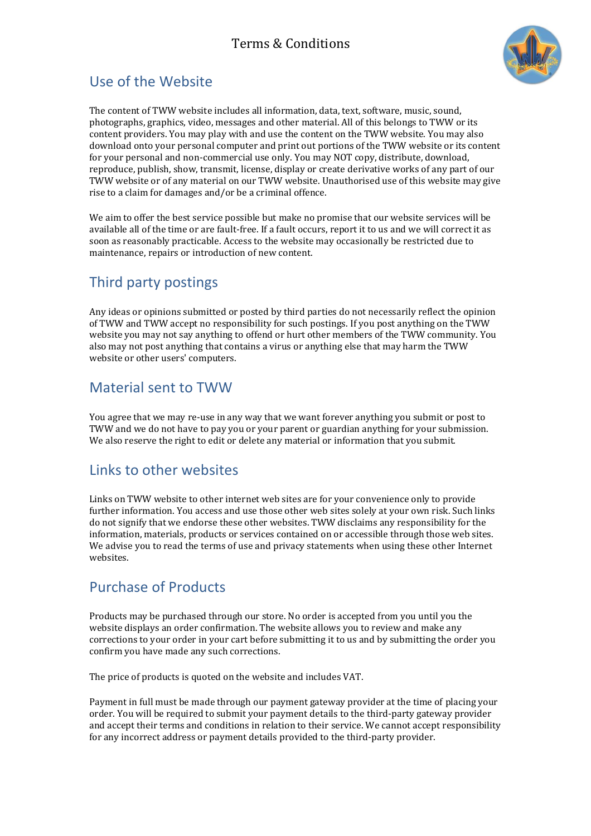

## Use of the Website

The content of TWW website includes all information, data, text, software, music, sound, photographs, graphics, video, messages and other material. All of this belongs to TWW or its content providers. You may play with and use the content on the TWW website. You may also download onto your personal computer and print out portions of the TWW website or its content for your personal and non-commercial use only. You may NOT copy, distribute, download, reproduce, publish, show, transmit, license, display or create derivative works of any part of our TWW website or of any material on our TWW website. Unauthorised use of this website may give rise to a claim for damages and/or be a criminal offence.

We aim to offer the best service possible but make no promise that our website services will be available all of the time or are fault-free. If a fault occurs, report it to us and we will correct it as soon as reasonably practicable. Access to the website may occasionally be restricted due to maintenance, repairs or introduction of new content.

# Third party postings

Any ideas or opinions submitted or posted by third parties do not necessarily reflect the opinion of TWW and TWW accept no responsibility for such postings. If you post anything on the TWW website you may not say anything to offend or hurt other members of the TWW community. You also may not post anything that contains a virus or anything else that may harm the TWW website or other users' computers.

### Material sent to TWW

You agree that we may re-use in any way that we want forever anything you submit or post to TWW and we do not have to pay you or your parent or guardian anything for your submission. We also reserve the right to edit or delete any material or information that you submit.

### Links to other websites

Links on TWW website to other internet web sites are for your convenience only to provide further information. You access and use those other web sites solely at your own risk. Such links do not signify that we endorse these other websites. TWW disclaims any responsibility for the information, materials, products or services contained on or accessible through those web sites. We advise you to read the terms of use and privacy statements when using these other Internet websites.

## Purchase of Products

Products may be purchased through our store. No order is accepted from you until you the website displays an order confirmation. The website allows you to review and make any corrections to your order in your cart before submitting it to us and by submitting the order you confirm you have made any such corrections.

The price of products is quoted on the website and includes VAT.

Payment in full must be made through our payment gateway provider at the time of placing your order. You will be required to submit your payment details to the third-party gateway provider and accept their terms and conditions in relation to their service. We cannot accept responsibility for any incorrect address or payment details provided to the third-party provider.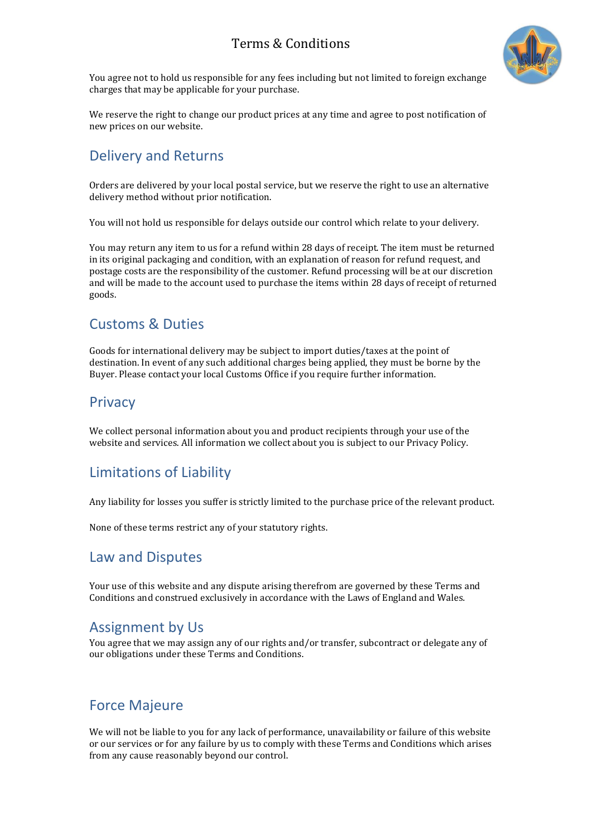

You agree not to hold us responsible for any fees including but not limited to foreign exchange charges that may be applicable for your purchase.

We reserve the right to change our product prices at any time and agree to post notification of new prices on our website.

### Delivery and Returns

Orders are delivered by your local postal service, but we reserve the right to use an alternative delivery method without prior notification.

You will not hold us responsible for delays outside our control which relate to your delivery.

You may return any item to us for a refund within 28 days of receipt. The item must be returned in its original packaging and condition, with an explanation of reason for refund request, and postage costs are the responsibility of the customer. Refund processing will be at our discretion and will be made to the account used to purchase the items within 28 days of receipt of returned goods.

### Customs & Duties

Goods for international delivery may be subject to import duties/taxes at the point of destination. In event of any such additional charges being applied, they must be borne by the Buyer. Please contact your local Customs Office if you require further information.

#### **Privacy**

We collect personal information about you and product recipients through your use of the website and services. All information we collect about you is subject to our Privacy Policy.

### Limitations of Liability

Any liability for losses you suffer is strictly limited to the purchase price of the relevant product.

None of these terms restrict any of your statutory rights.

#### Law and Disputes

Your use of this website and any dispute arising therefrom are governed by these Terms and Conditions and construed exclusively in accordance with the Laws of England and Wales.

### Assignment by Us

You agree that we may assign any of our rights and/or transfer, subcontract or delegate any of our obligations under these Terms and Conditions.

### Force Majeure

We will not be liable to you for any lack of performance, unavailability or failure of this website or our services or for any failure by us to comply with these Terms and Conditions which arises from any cause reasonably beyond our control.